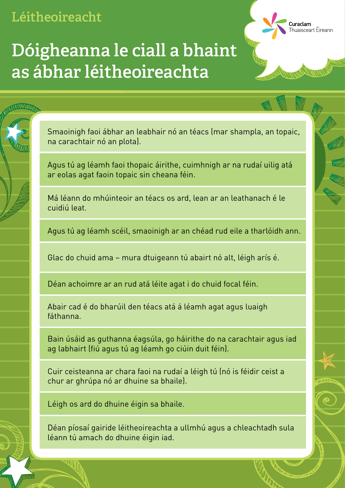Curaclam surucum<br>Thuaisceart Éireann

### **Dóigheanna le ciall a bhaint as ábhar léitheoireachta**

Smaoinigh faoi ábhar an leabhair nó an téacs (mar shampla, an topaic, na carachtair nó an plota).

Agus tú ag léamh faoi thopaic áirithe, cuimhnigh ar na rudaí uilig atá ar eolas agat faoin topaic sin cheana féin.

Má léann do mhúinteoir an téacs os ard, lean ar an leathanach é le cuidiú leat.

Agus tú ag léamh scéil, smaoinigh ar an chéad rud eile a tharlóidh ann.

Glac do chuid ama – mura dtuigeann tú abairt nó alt, léigh arís é.

Déan achoimre ar an rud atá léite agat i do chuid focal féin.

Abair cad é do bharúil den téacs atá á léamh agat agus luaigh fáthanna.

Bain úsáid as guthanna éagsúla, go háirithe do na carachtair agus iad ag labhairt (fiú agus tú ag léamh go ciúin duit féin).

Cuir ceisteanna ar chara faoi na rudaí a léigh tú (nó is féidir ceist a chur ar ghrúpa nó ar dhuine sa bhaile).

Léigh os ard do dhuine éigin sa bhaile.

Déan píosaí gairide léitheoireachta a ullmhú agus a chleachtadh sula léann tú amach do dhuine éigin iad.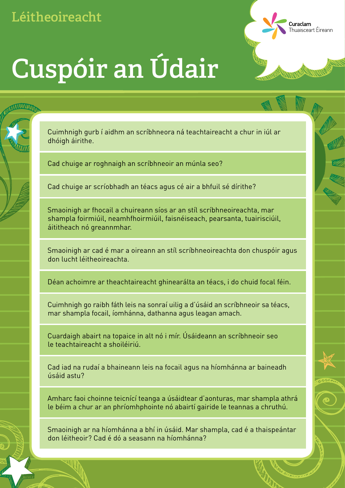# **Cuspóir an Údair**

Cuimhnigh gurb í aidhm an scríbhneora ná teachtaireacht a chur in iúl ar dhóigh áirithe.

**Curaclam**<br>Thuaisceart Éireann

Cad chuige ar roghnaigh an scríbhneoir an múnla seo?

Cad chuige ar scríobhadh an téacs agus cé air a bhfuil sé dírithe?

Smaoinigh ar fhocail a chuireann síos ar an stíl scríbhneoireachta, mar shampla foirmiúil, neamhfhoirmiúil, faisnéiseach, pearsanta, tuairisciúil, áititheach nó greannmhar.

Smaoinigh ar cad é mar a oireann an stíl scríbhneoireachta don chuspóir agus don lucht léitheoireachta.

Déan achoimre ar theachtaireacht ghinearálta an téacs, i do chuid focal féin.

Cuimhnigh go raibh fáth leis na sonraí uilig a d'úsáid an scríbhneoir sa téacs, mar shampla focail, íomhánna, dathanna agus leagan amach.

Cuardaigh abairt na topaice in alt nó i mír. Úsáideann an scríbhneoir seo le teachtaireacht a shoiléiriú.

Cad iad na rudaí a bhaineann leis na focail agus na híomhánna ar baineadh úsáid astu?

Amharc faoi choinne teicnící teanga a úsáidtear d'aonturas, mar shampla athrá le béim a chur ar an phríomhphointe nó abairtí gairide le teannas a chruthú.

Smaoinigh ar na híomhánna a bhí in úsáid. Mar shampla, cad é a thaispeántar don léitheoir? Cad é dó a seasann na híomhánna?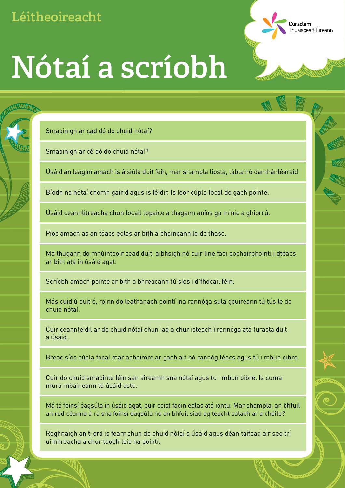Smaoinigh ar cad dó do chuid nótaí?

Smaoinigh ar cé dó do chuid nótaí?

Úsáid an leagan amach is áisiúla duit féin, mar shampla liosta, tábla nó damhánléaráid.

**Curaclam**<br>Thuaisceart Éireann

Bíodh na nótaí chomh gairid agus is féidir. Is leor cúpla focal do gach pointe.

Úsáid ceannlitreacha chun focail topaice a thagann aníos go minic a ghiorrú.

Pioc amach as an téacs eolas ar bith a bhaineann le do thasc.

Má thugann do mhúinteoir cead duit, aibhsigh nó cuir líne faoi eochairphointí i dtéacs ar bith atá in úsáid agat.

Scríobh amach pointe ar bith a bhreacann tú síos i d'fhocail féin.

Más cuidiú duit é, roinn do leathanach pointí ina rannóga sula gcuireann tú tús le do chuid nótaí.

Cuir ceannteidil ar do chuid nótaí chun iad a chur isteach i rannóga atá furasta duit a úsáid.

Breac síos cúpla focal mar achoimre ar gach alt nó rannóg téacs agus tú i mbun oibre.

Cuir do chuid smaointe féin san áireamh sna nótaí agus tú i mbun oibre. Is cuma mura mbaineann tú úsáid astu.

Má tá foinsí éagsúla in úsáid agat, cuir ceist faoin eolas atá iontu. Mar shampla, an bhfuil an rud céanna á rá sna foinsí éagsúla nó an bhfuil siad ag teacht salach ar a chéile?

Roghnaigh an t-ord is fearr chun do chuid nótaí a úsáid agus déan taifead air seo trí uimhreacha a chur taobh leis na pointí.

## **Nótaí a scríobh**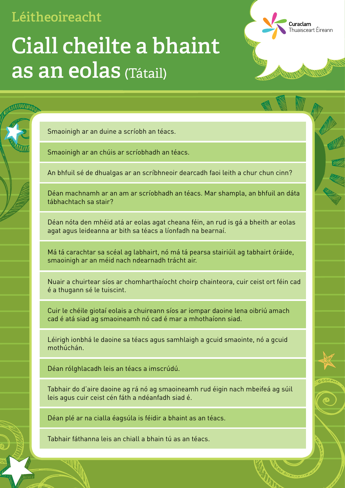Smaoinigh ar an duine a scríobh an téacs.

Smaoinigh ar an chúis ar scríobhadh an téacs.

An bhfuil sé de dhualgas ar an scríbhneoir dearcadh faoi leith a chur chun cinn?

**Curaclam**<br>Thuaisceart Éireann

Déan machnamh ar an am ar scríobhadh an téacs. Mar shampla, an bhfuil an dáta tábhachtach sa stair?

Déan nóta den mhéid atá ar eolas agat cheana féin, an rud is gá a bheith ar eolas agat agus leideanna ar bith sa téacs a líonfadh na bearnaí.

Má tá carachtar sa scéal ag labhairt, nó má tá pearsa stairiúil ag tabhairt óráide, smaoinigh ar an méid nach ndearnadh trácht air.

Nuair a chuirtear síos ar chomharthaíocht choirp chainteora, cuir ceist ort féin cad é a thugann sé le tuiscint.

Cuir le chéile giotaí eolais a chuireann síos ar iompar daoine lena oibriú amach cad é atá siad ag smaoineamh nó cad é mar a mhothaíonn siad.

Léirigh ionbhá le daoine sa téacs agus samhlaigh a gcuid smaointe, nó a gcuid mothúchán.

Déan rólghlacadh leis an téacs a imscrúdú.

Tabhair do d'aire daoine ag rá nó ag smaoineamh rud éigin nach mbeifeá ag súil leis agus cuir ceist cén fáth a ndéanfadh siad é.

Déan plé ar na cialla éagsúla is féidir a bhaint as an téacs.

Tabhair fáthanna leis an chiall a bhain tú as an téacs.

## (Tátail) **as an eolasCiall cheilte a bhaint**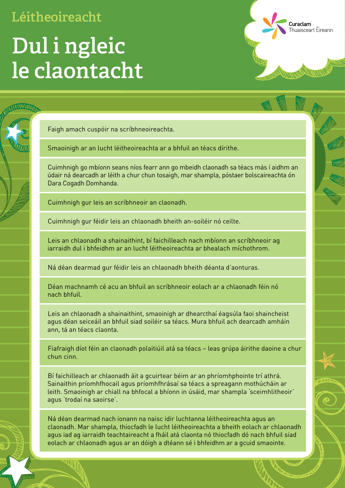## **Dul i ngleic le claontacht**

Faigh amach cuspóir na scríbhneoireachta.

Smaoinigh ar an lucht léitheoireachta ar a bhfuil an téacs dírithe.

Cuimhnigh go mbíonn seans níos fearr ann go mbeidh claonadh sa téacs más í aidhm an údair ná dearcadh ar léith a chur chun tosaigh, mar shampla, póstaer bolscaireachta ón Dara Cogadh Domhanda.

Curaclam

**Caractam**<br>Thuaisceart Éireann

Cuimhnigh gur leis an scríbhneoir an claonadh.

Cuimhnigh gur féidir leis an chlaonadh bheith an-soiléir nó ceilte.

Leis an chlaonadh a shainaithint, bí faichilleach nach mbíonn an scríbhneoir ag iarraidh dul i bhfeidhm ar an lucht léitheoireachta ar bhealach míchothrom.

Ná déan dearmad gur féidir leis an chlaonadh bheith déanta d'aonturas.

Déan machnamh cé acu an bhfuil an scríbhneoir eolach ar a chlaonadh féin nó nach bhfuil.

Leis an chlaonadh a shainaithint, smaoinigh ar dhearcthaí éagsúla faoi shaincheist agus déan seiceáil an bhfuil siad soiléir sa téacs. Mura bhfuil ach dearcadh amháin ann, tá an téacs claonta.

Fiafraigh díot féin an claonadh polaitiúil atá sa téacs – leas grúpa áirithe daoine a chur chun cinn.

Bí faichilleach ar chlaonadh áit a gcuirtear béim ar an phríomhphointe trí athrá. Sainaithin príomhfhocail agus príomhfhrásaí sa téacs a spreagann mothúcháin ar leith. Smaoinigh ar chiall na bhfocal a bhíonn in úsáid, mar shampla 'sceimhlitheoir' agus 'trodaí na saoirse'.

Ná déan dearmad nach ionann na naisc idir luchtanna léitheoireachta agus an claonadh. Mar shampla, thiocfadh le lucht léitheoireachta a bheith eolach ar chlaonadh agus iad ag iarraidh teachtaireacht a fháil atá claonta nó thiocfadh dó nach bhfuil siad eolach ar chlaonadh agus ar an dóigh a dtéann sé i bhfeidhm ar a gcuid smaointe.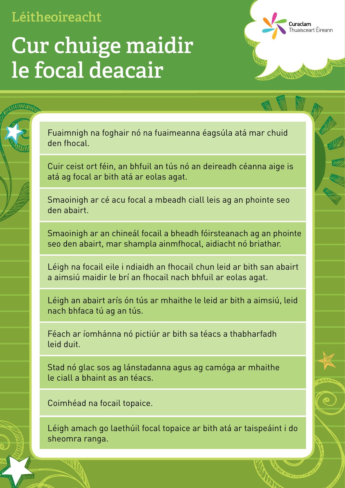### **Cur chuige maidir le focal deacair**

Fuaimnigh na foghair nó na fuaimeanna éagsúla atá mar chuid den fhocal.

**Curaclam**<br>Thuaisceart Éireann

Cuir ceist ort féin, an bhfuil an tús nó an deireadh céanna aige is atá ag focal ar bith atá ar eolas agat.

Smaoinigh ar cé acu focal a mbeadh ciall leis ag an phointe seo den abairt.

Smaoinigh ar an chineál focail a bheadh fóirsteanach ag an phointe seo den abairt, mar shampla ainmfhocal, aidiacht nó briathar.

Léigh na focail eile i ndiaidh an fhocail chun leid ar bith san abairt a aimsiú maidir le brí an fhocail nach bhfuil ar eolas agat.

Léigh an abairt arís ón tús ar mhaithe le leid ar bith a aimsiú, leid nach bhfaca tú ag an tús.

Féach ar íomhánna nó pictiúr ar bith sa téacs a thabharfadh leid duit.

Stad nó glac sos ag lánstadanna agus ag camóga ar mhaithe le ciall a bhaint as an téacs.

Coimhéad na focail topaice.

Léigh amach go laethúil focal topaice ar bith atá ar taispeáint i do sheomra ranga.